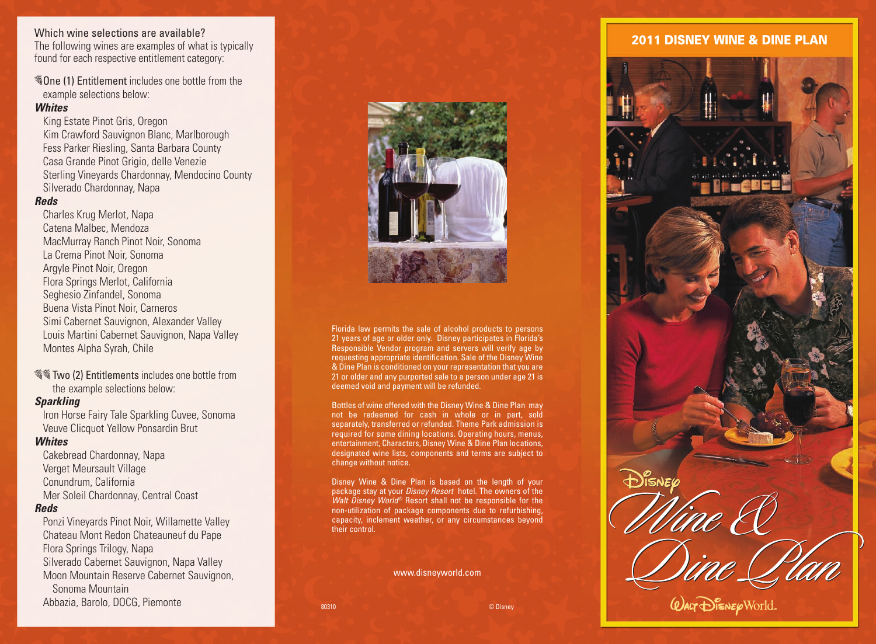# Which wine selections are available?

The following wines are examples of what is typically found for each respective entitlement category:

 $\mathcal{F}$  One (1) Entitlement includes one bottle from the example selections below:

# *Whites*

King Estate Pinot Gris, Oregon Kim Crawford Sauvignon Blanc, Marlborough Fess Parker Riesling, Santa Barbara County Casa Grande Pinot Grigio, delle Venezie Sterling Vineyards Chardonnay, Mendocino County Silverado Chardonnay, Napa

# *Reds*

Charles Krug Merlot, Napa Catena Malbec, Mendoza MacMurray Ranch Pinot Noir, Sonoma La Crema Pinot Noir, Sonoma Argyle Pinot Noir, Oregon Flora Springs Merlot, California Seghesio Zinfandel, Sonoma Buena Vista Pinot Noir, Carneros Simi Cabernet Sauvignon, Alexander Valley Louis Martini Cabernet Sauvignon, Napa Valley Montes Alpha Syrah, Chile

**Follow** Two (2) Entitlements includes one bottle from the example selections below:

# *Sparkling*

Iron Horse Fairy Tale Sparkling Cuvee, Sonoma Veuve Clicquot Yellow Ponsardin Brut

# *Whites*

Cakebread Chardonnay, Napa Verget Meursault Village Conundrum, California Mer Soleil Chardonnay, Central Coast

# *Reds*

Ponzi Vineyards Pinot Noir, Willamette Valley Chateau Mont Redon Chateauneuf du Pape Flora Springs Trilogy, Napa Silverado Cabernet Sauvignon, Napa Valley Moon Mountain Reserve Cabernet Sauvignon, Sonoma Mountain Abbazia, Barolo, DOCG, Piemonte



Florida law permits the sale of alcohol products to persons 21 years of age or older only. Disney participates in Florida's Responsible Vendor program and servers will verify age by requesting appropriate identification. Sale of the Disney Wine & Dine Plan is conditioned on your representation that you are 21 or older and any purported sale to a person under age 21 is deemed void and payment will be refunded.

Bottles of wine offered with the Disney Wine & Dine Plan may not be redeemed for cash in whole or in part, sold separately, transferred or refunded. Theme Park admission is required for some dining locations. Operating hours, menus, entertainment, Characters, Disney Wine & Dine Plan locations, designated wine lists, components and terms are subject to change without notice.

Disney Wine & Dine Plan is based on the length of your package stay at your *Disney Resort* hotel. The owners of the *Walt Disney World®* Resort shall not be responsible for the non-utilization of package components due to refurbishing, capacity, inclement weather, or any circumstances beyond their control.

www.disneyworld.com

# 2011 DISNEY WINE & DINE PLAN



*QALT DISNEQ* World

80310 © Disney